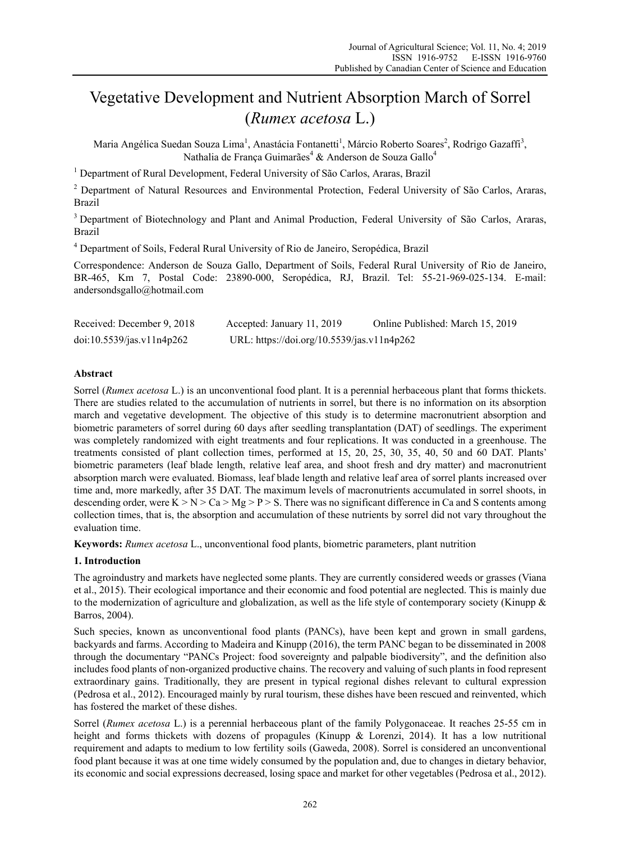# Vegetative Development and Nutrient Absorption March of Sorrel (*Rumex acetosa* L.)

Maria Angélica Suedan Souza Lima<sup>1</sup>, Anastácia Fontanetti<sup>1</sup>, Márcio Roberto Soares<sup>2</sup>, Rodrigo Gazaffi<sup>3</sup>, Nathalia de França Guimarães<sup>4</sup> & Anderson de Souza Gallo<sup>4</sup>

<sup>1</sup> Department of Rural Development, Federal University of São Carlos, Araras, Brazil

<sup>2</sup> Department of Natural Resources and Environmental Protection, Federal University of São Carlos, Araras, Brazil

3 Department of Biotechnology and Plant and Animal Production, Federal University of São Carlos, Araras, Brazil

<sup>4</sup> Department of Soils, Federal Rural University of Rio de Janeiro, Seropédica, Brazil

Correspondence: Anderson de Souza Gallo, Department of Soils, Federal Rural University of Rio de Janeiro, BR-465, Km 7, Postal Code: 23890-000, Seropédica, RJ, Brazil. Tel: 55-21-969-025-134. E-mail: andersondsgallo@hotmail.com

| Received: December 9, 2018                        | Accepted: January 11, 2019                 | Online Published: March 15, 2019 |
|---------------------------------------------------|--------------------------------------------|----------------------------------|
| $\frac{\text{doi:10.5539}}{\text{gas.v11n4p262}}$ | URL: https://doi.org/10.5539/jas.v11n4p262 |                                  |

# **Abstract**

Sorrel (*Rumex acetosa* L.) is an unconventional food plant. It is a perennial herbaceous plant that forms thickets. There are studies related to the accumulation of nutrients in sorrel, but there is no information on its absorption march and vegetative development. The objective of this study is to determine macronutrient absorption and biometric parameters of sorrel during 60 days after seedling transplantation (DAT) of seedlings. The experiment was completely randomized with eight treatments and four replications. It was conducted in a greenhouse. The treatments consisted of plant collection times, performed at 15, 20, 25, 30, 35, 40, 50 and 60 DAT. Plants' biometric parameters (leaf blade length, relative leaf area, and shoot fresh and dry matter) and macronutrient absorption march were evaluated. Biomass, leaf blade length and relative leaf area of sorrel plants increased over time and, more markedly, after 35 DAT. The maximum levels of macronutrients accumulated in sorrel shoots, in descending order, were  $K > N > Ca > Mg > P > S$ . There was no significant difference in Ca and S contents among collection times, that is, the absorption and accumulation of these nutrients by sorrel did not vary throughout the evaluation time.

**Keywords:** *Rumex acetosa* L., unconventional food plants, biometric parameters, plant nutrition

# **1. Introduction**

The agroindustry and markets have neglected some plants. They are currently considered weeds or grasses (Viana et al., 2015). Their ecological importance and their economic and food potential are neglected. This is mainly due to the modernization of agriculture and globalization, as well as the life style of contemporary society (Kinupp  $\&$ Barros, 2004).

Such species, known as unconventional food plants (PANCs), have been kept and grown in small gardens, backyards and farms. According to Madeira and Kinupp (2016), the term PANC began to be disseminated in 2008 through the documentary "PANCs Project: food sovereignty and palpable biodiversity", and the definition also includes food plants of non-organized productive chains. The recovery and valuing of such plants in food represent extraordinary gains. Traditionally, they are present in typical regional dishes relevant to cultural expression (Pedrosa et al., 2012). Encouraged mainly by rural tourism, these dishes have been rescued and reinvented, which has fostered the market of these dishes.

Sorrel (*Rumex acetosa* L.) is a perennial herbaceous plant of the family Polygonaceae. It reaches 25-55 cm in height and forms thickets with dozens of propagules (Kinupp & Lorenzi, 2014). It has a low nutritional requirement and adapts to medium to low fertility soils (Gaweda, 2008). Sorrel is considered an unconventional food plant because it was at one time widely consumed by the population and, due to changes in dietary behavior, its economic and social expressions decreased, losing space and market for other vegetables (Pedrosa et al., 2012).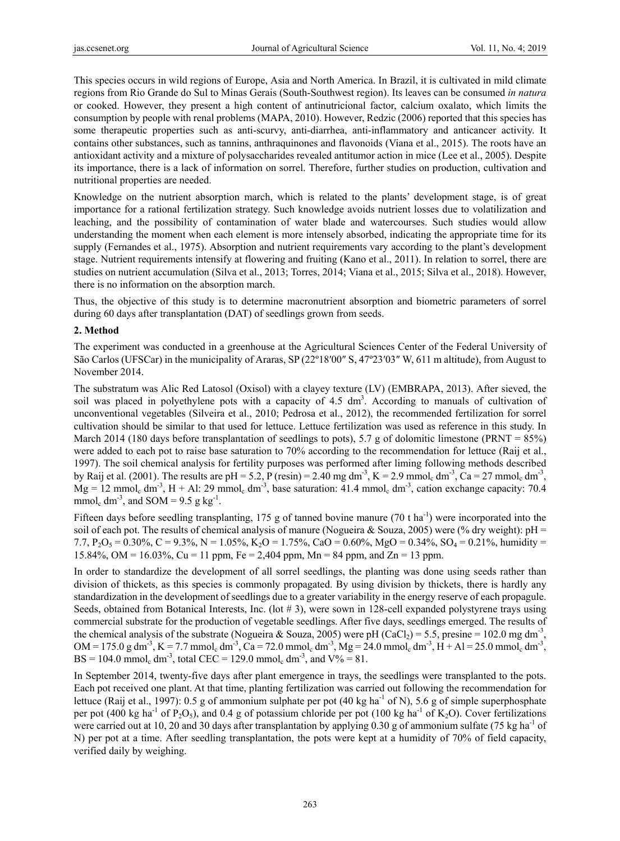This species occurs in wild regions of Europe, Asia and North America. In Brazil, it is cultivated in mild climate regions from Rio Grande do Sul to Minas Gerais (South-Southwest region). Its leaves can be consumed *in natura* or cooked. However, they present a high content of antinutricional factor, calcium oxalato, which limits the consumption by people with renal problems (MAPA, 2010). However, Redzic (2006) reported that this species has some therapeutic properties such as anti-scurvy, anti-diarrhea, anti-inflammatory and anticancer activity. It contains other substances, such as tannins, anthraquinones and flavonoids (Viana et al., 2015). The roots have an antioxidant activity and a mixture of polysaccharides revealed antitumor action in mice (Lee et al., 2005). Despite its importance, there is a lack of information on sorrel. Therefore, further studies on production, cultivation and nutritional properties are needed.

Knowledge on the nutrient absorption march, which is related to the plants' development stage, is of great importance for a rational fertilization strategy. Such knowledge avoids nutrient losses due to volatilization and leaching, and the possibility of contamination of water blade and watercourses. Such studies would allow understanding the moment when each element is more intensely absorbed, indicating the appropriate time for its supply (Fernandes et al., 1975). Absorption and nutrient requirements vary according to the plant's development stage. Nutrient requirements intensify at flowering and fruiting (Kano et al., 2011). In relation to sorrel, there are studies on nutrient accumulation (Silva et al., 2013; Torres, 2014; Viana et al., 2015; Silva et al., 2018). However, there is no information on the absorption march.

Thus, the objective of this study is to determine macronutrient absorption and biometric parameters of sorrel during 60 days after transplantation (DAT) of seedlings grown from seeds.

## **2. Method**

The experiment was conducted in a greenhouse at the Agricultural Sciences Center of the Federal University of São Carlos (UFSCar) in the municipality of Araras, SP (22º18′00″ S, 47º23′03″ W, 611 m altitude), from August to November 2014.

The substratum was Alic Red Latosol (Oxisol) with a clayey texture (LV) (EMBRAPA, 2013). After sieved, the soil was placed in polyethylene pots with a capacity of  $4.5 \text{ dm}^3$ . According to manuals of cultivation of unconventional vegetables (Silveira et al., 2010; Pedrosa et al., 2012), the recommended fertilization for sorrel cultivation should be similar to that used for lettuce. Lettuce fertilization was used as reference in this study. In March 2014 (180 days before transplantation of seedlings to pots), 5.7 g of dolomitic limestone (PRNT =  $85\%$ ) were added to each pot to raise base saturation to 70% according to the recommendation for lettuce (Raij et al., 1997). The soil chemical analysis for fertility purposes was performed after liming following methods described by Raij et al. (2001). The results are pH = 5.2, P (resin) = 2.40 mg dm<sup>-3</sup>, K = 2.9 mmol<sub>c</sub> dm<sup>-3</sup>, Ca = 27 mmol<sub>c</sub> dm<sup>-3</sup>,  $Mg = 12$  mmol<sub>c</sub> dm<sup>-3</sup>, H + Al: 29 mmol<sub>c</sub> dm<sup>-3</sup>, base saturation: 41.4 mmol<sub>c</sub> dm<sup>-3</sup>, cation exchange capacity: 70.4 mmol<sub>c</sub> dm<sup>-3</sup>, and SOM = 9.5 g kg<sup>-1</sup>.

Fifteen days before seedling transplanting, 175 g of tanned bovine manure (70 t ha<sup>-1</sup>) were incorporated into the soil of each pot. The results of chemical analysis of manure (Nogueira & Souza, 2005) were (% dry weight):  $pH =$ 7.7,  $P_2O_5 = 0.30\%$ ,  $C = 9.3\%$ ,  $N = 1.05\%$ ,  $K_2O = 1.75\%$ ,  $CaO = 0.60\%$ ,  $MgO = 0.34\%$ ,  $SO_4 = 0.21\%$ , humidity  $=$ 15.84%, OM = 16.03%, Cu = 11 ppm, Fe = 2,404 ppm, Mn = 84 ppm, and Zn = 13 ppm.

In order to standardize the development of all sorrel seedlings, the planting was done using seeds rather than division of thickets, as this species is commonly propagated. By using division by thickets, there is hardly any standardization in the development of seedlings due to a greater variability in the energy reserve of each propagule. Seeds, obtained from Botanical Interests, Inc. (lot  $\# 3$ ), were sown in 128-cell expanded polystyrene trays using commercial substrate for the production of vegetable seedlings. After five days, seedlings emerged. The results of the chemical analysis of the substrate (Nogueira & Souza, 2005) were pH (CaCl<sub>2</sub>) = 5.5, presine = 102.0 mg dm<sup>-3</sup>.  $OM = 175.0 g dm<sup>-3</sup>, K = 7.7 mmol<sub>c</sub> dm<sup>-3</sup>, Ca = 72.0 mmol<sub>c</sub> dm<sup>-3</sup>, Mg = 24.0 mmol<sub>c</sub> dm<sup>-3</sup>, H + Al = 25.0 mmol<sub>c</sub> dm<sup>-3</sup>,$  $BS = 104.0$  mmol<sub>c</sub> dm<sup>-3</sup>, total CEC = 129.0 mmol<sub>c</sub> dm<sup>-3</sup>, and V% = 81.

In September 2014, twenty-five days after plant emergence in trays, the seedlings were transplanted to the pots. Each pot received one plant. At that time, planting fertilization was carried out following the recommendation for lettuce (Raij et al., 1997): 0.5 g of ammonium sulphate per pot (40 kg ha<sup>-1</sup> of N), 5.6 g of simple superphosphate per pot (400 kg ha<sup>-1</sup> of P<sub>2</sub>O<sub>5</sub>), and 0.4 g of potassium chloride per pot (100 kg ha<sup>-1</sup> of K<sub>2</sub>O). Cover fertilizations were carried out at 10, 20 and 30 days after transplantation by applying 0.30 g of ammonium sulfate (75 kg ha<sup>-1</sup> of N) per pot at a time. After seedling transplantation, the pots were kept at a humidity of 70% of field capacity, verified daily by weighing.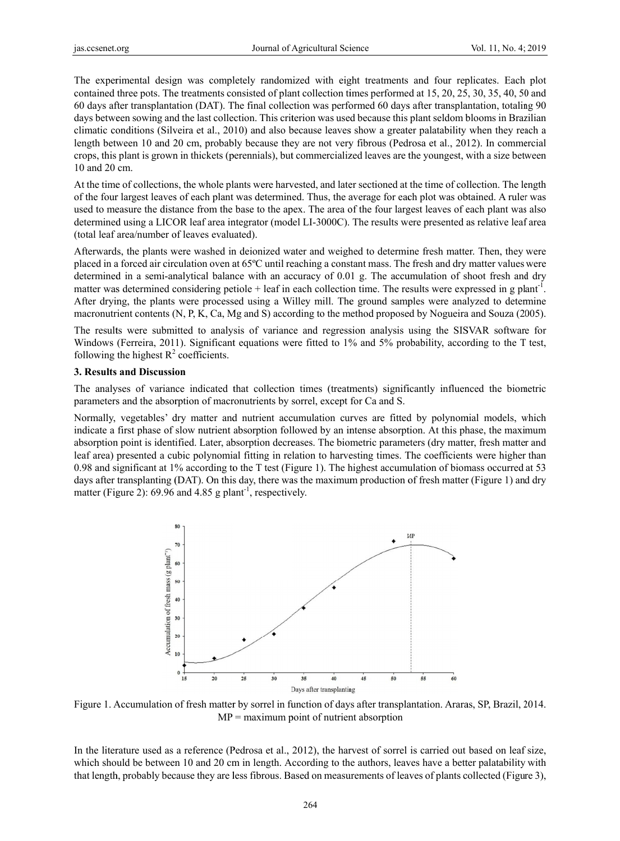The experimental design was completely randomized with eight treatments and four replicates. Each plot contained three pots. The treatments consisted of plant collection times performed at 15, 20, 25, 30, 35, 40, 50 and 60 days after transplantation (DAT). The final collection was performed 60 days after transplantation, totaling 90 days between sowing and the last collection. This criterion was used because this plant seldom blooms in Brazilian climatic conditions (Silveira et al., 2010) and also because leaves show a greater palatability when they reach a length between 10 and 20 cm, probably because they are not very fibrous (Pedrosa et al., 2012). In commercial crops, this plant is grown in thickets (perennials), but commercialized leaves are the youngest, with a size between 10 and 20 cm.

At the time of collections, the whole plants were harvested, and later sectioned at the time of collection. The length of the four largest leaves of each plant was determined. Thus, the average for each plot was obtained. A ruler was used to measure the distance from the base to the apex. The area of the four largest leaves of each plant was also determined using a LICOR leaf area integrator (model LI-3000C). The results were presented as relative leaf area (total leaf area/number of leaves evaluated).

Afterwards, the plants were washed in deionized water and weighed to determine fresh matter. Then, they were placed in a forced air circulation oven at 65°C until reaching a constant mass. The fresh and dry matter values were determined in a semi-analytical balance with an accuracy of  $0.01$  g. The accumulation of shoot fresh and dry matter was determined considering petiole  $+$  leaf in each collection time. The results were expressed in g plant<sup>-1</sup>. After drying, the plants were processed using a Willey mill. The ground samples were analyzed to determine macronutrient contents (N, P, K, Ca, Mg and S) according to the method proposed by Nogueira and Souza (2005).

The results were submitted to analysis of variance and regression analysis using the SISVAR software for Windows (Ferreira, 2011). Significant equations were fitted to 1% and 5% probability, according to the T test, following the highest  $R^2$  coefficients.

#### **3. Results and Discussi on**

The analyses of variance indicated that collection times (treatments) significantly influenced the biometric parameters and the absorption of macronutrients by sorrel, except for Ca and S.

Normally, vegetables' dry matter and nutrient accumulation curves are fitted by polynomial models, which indicate a first phase of slow nutrient absorption followed by an intense absorption. At this phase, the maximum absorption point is identified. Later, absorption decreases. The biometric parameters (dry matter, fresh matter and leaf area) presented a cubic polynomial fitting in relation to harvesting times. The coefficients were higher than 0.98 and significant at 1% according to the T test (Figure 1). The highest accumulation of biomass occurred at 53 days after transplanting (DAT). On this day, there was the maximum production of fresh matter (Figure 1) and dry matter (Figure 2): 69.96 and 4.85 g plant<sup>-1</sup>, respectively.



Figure 1. Accumulation of fresh matter by sorrel in function of days after transplantation. Araras, SP, Brazil, 2014.  $MP =$  maximum point of nutrient absorption

In the literature used as a reference (Pedrosa et al., 2012), the harvest of sorrel is carried out based on leaf size, which should be between 10 and 20 cm in length. According to the authors, leaves have a better palatability with that length, probably because they are less fibrous. Based on measurements of leaves of plants collected (Figure 3),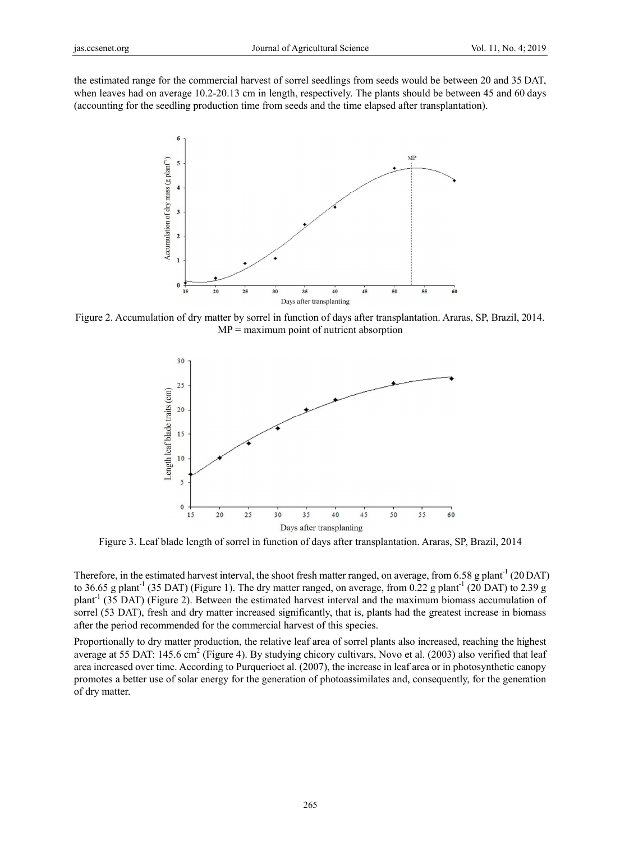the estimated range for the commercial harvest of sorrel seedlings from seeds would be between 20 and 35 DAT, when leaves had on average 10.2-20.13 cm in length, respectively. The plants should be between 45 and 60 days (accounting for the seedling production time from seeds and the time elapsed after transplantation).



Figure 2. Accumulation of dry matter by sorrel in function of days after transplantation. Araras, SP, Brazil, 2014.  $MP =$  maximum point of nutrient absorption



Figure 3. Leaf blade length of sorrel in function of days after transplantation. Araras, SP, Brazil, 2014

Therefore, in the estimated harvest interval, the shoot fresh matter ranged, on average, from 6.58 g plant<sup>-1</sup> (20 DAT) to 36.65 g plant<sup>-1</sup> (35 DAT) (Figure 1). The dry matter ranged, on average, from 0.22 g plant<sup>-1</sup> (20 DAT) to 2.39 g plant<sup>-1</sup> (35 DAT) (Figure 2). Between the estimated harvest interval and the maximum biomass accumulation of sorrel (53 DAT), fresh and dry matter increased significantly, that is, plants had the greatest increase in biomass after the period recommended for the commercial harvest of this species.

Proportionally to dry matter production, the relative leaf area of sorrel plants also increased, reaching the highest average at 55 DAT: 145.6 cm<sup>2</sup> (Figure 4). By studying chicory cultivars, Novo et al. (2003) also verified that leaf area increased over time. According to Purquerioet al. (2007), the increase in leaf area or in photosynthetic canopy promotes a better use of solar energy for the generation of photoassimilates and, consequently, for the generation of dry matter.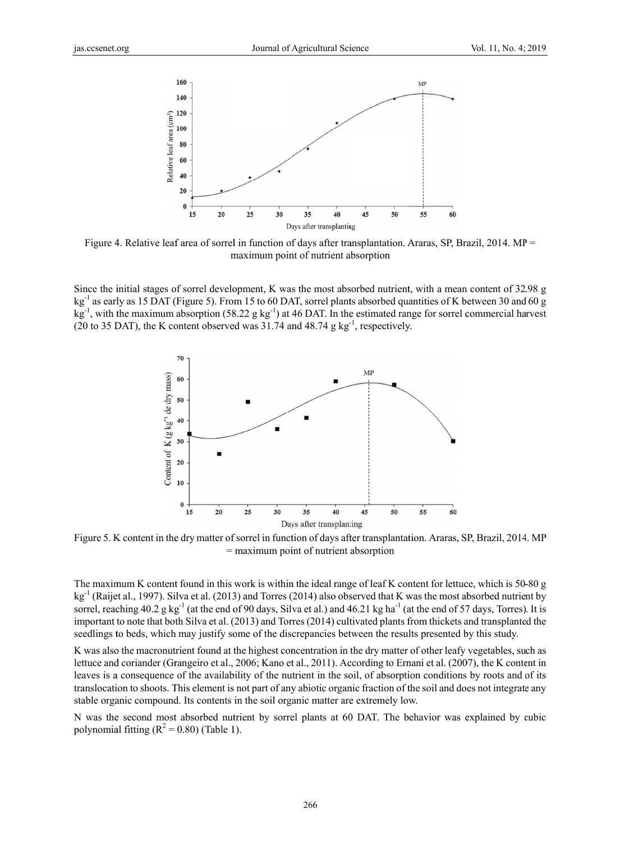

Figure 4. Relative leaf area of sorrel in function of days after transplantation. Araras, SP, Brazil, 2014. MP = maximum point of nutrient absorption

Since the initial stages of sorrel development, K was the most absorbed nutrient, with a mean content of 32.98 g  $kg<sup>-1</sup>$  as early as 15 DAT (Figure 5). From 15 to 60 DAT, sorrel plants absorbed quantities of K between 30 and 60 g  $\text{kg}^{-1}$ , with the maximum absorption (58.22 g kg<sup>-1</sup>) at 46 DAT. In the estimated range for sorrel commercial harvest (20 to 35 DAT), the K content observed was 31.74 and 48.74 g kg<sup>-1</sup>, respectively.



Figure 5. K content in the dry matter of sorrel in function of days after transplantation. Araras, SP, Brazil, 2014. MP  $=$  maximum point of nutrient absorption

The maximum K content found in this work is within the ideal range of leaf K content for lettuce, which is 50-80 g  $\text{kg}^{-1}$  (Raijet al., 1997). Silva et al. (2013) and Torres (2014) also observed that K was the most absorbed nutrient by sorrel, reaching  $40.2$  g kg<sup>-1</sup> (at the end of 90 days, Silva et al.) and  $46.21$  kg ha<sup>-1</sup> (at the end of 57 days, Torres). It is important to note that both Silva et al. (2013) and Torres (2014) cultivated plants from thickets and transplanted the seedlings to beds, which may justify some of the discrepancies between the results presented by this study.

K was also the macronutrient found at the highest concentration in the dry matter of other leafy vegetables, such as lettuce and coriander (Grangeiro et al., 2006; Kano et al., 2011). According to Ernani et al. (2007), the K content in leaves is a consequence of the availability of the nutrient in the soil, of absorption conditions by roots and of its translocation to shoots. This element is not part of any abiotic organic fraction of the soil and does not integrate any stable organic compound. Its contents in the soil organic matter are extremely low.

N was the second most absorbed nutrient by sorrel plants at 60 DAT. The behavior was explained by cubic polynomial fitting  $(R^2 = 0.80)$  (Table 1).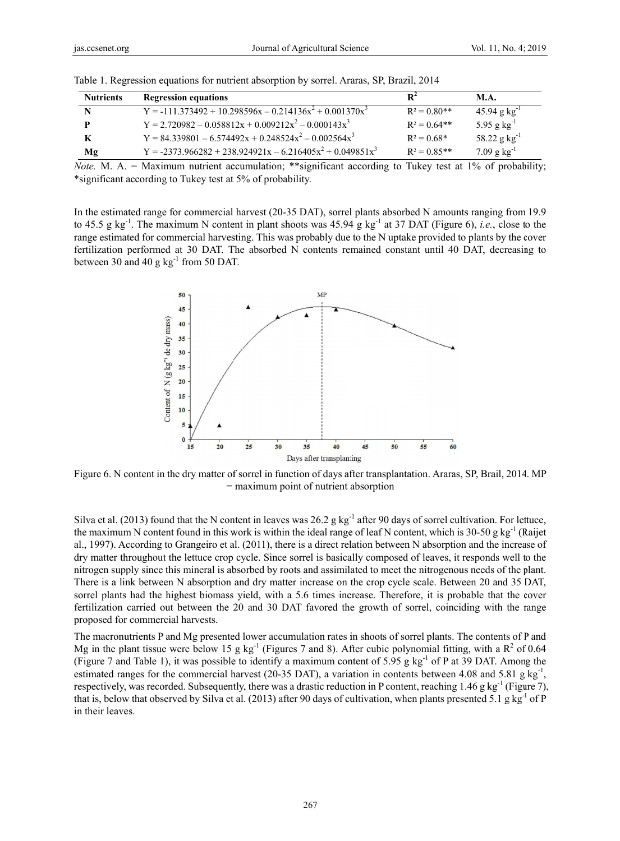| <b>Nutrients</b> | <b>Regression equations</b>                                      | $\mathbf{R}^2$ | <b>M.A.</b>                |
|------------------|------------------------------------------------------------------|----------------|----------------------------|
| N                | $Y = -111373492 + 10298596x - 0214136x^{2} + 0001370x^{3}$       | $R^2 = 0.80**$ | $45.94$ g kg <sup>-1</sup> |
| Þ                | $Y = 2.720982 - 0.058812x + 0.009212x^2 - 0.000143x^3$           | $R^2 = 0.64**$ | 5.95 g $kg^{-1}$           |
| K                | $Y = 84339801 - 6574492x + 0.248524x^2 - 0.002564x^3$            | $R^2 = 0.68*$  | 58.22 g $kg^{-1}$          |
| Mg               | $Y = -2373.966282 + 238.924921x - 6.216405x^{2} + 0.049851x^{3}$ | $R^2 = 0.85**$ | $7.09$ g kg <sup>-1</sup>  |

Table 1. Regression equations for nutrient absorption by sorrel. Araras, SP, Brazil, 2014

*Note.* M. A. = Maximum nutrient accumulation; \*\*significant according to Tukey test at  $1\%$  of probability; \*significant according to Tukey test at 5% of probability.

In the estimated range for commercial harvest (20-35 DAT), sorrel plants absorbed N amounts ranging from 19.9 to 45.5 g kg<sup>-1</sup>. The maximum N content in plant shoots was 45.94 g kg<sup>-1</sup> at 37 DAT (Figure 6), *i.e.*, close to the range estimated for commercial harvesting. This was probably due to the N uptake provided to plants by the cover fertilization performed at 30 DAT. The absorbed N contents remained constant until 40 DAT, decreasing to between 30 and 40 g  $kg^{-1}$  from 50 DAT.



Figure 6. N content in the dry matter of sorrel in function of days after transplantation. Araras, SP, Brail, 2014. MP  $=$  maximum point of nutrient absorption

Silva et al. (2013) found that the N content in leaves was  $26.2$  g kg<sup>-1</sup> after 90 days of sorrel cultivation. For lettuce, the maximum N content found in this work is within the ideal range of leaf N content, which is 30-50 g kg<sup>-1</sup> (Raijet al., 1997). According to Grangeiro et al. (2011), there is a direct relation between N absorption and the increase of dry matter throughout the lettuce crop cycle. Since sorrel is basically composed of leaves, it responds well to the nitrogen supply since this mineral is absorbed by roots and assimilated to meet the nitrogenous needs of the plant. There is a link between N absorption and dry matter increase on the crop cycle scale. Between 20 and 35 DAT, sorrel plants had the highest biomass yield, with a 5.6 times increase. Therefore, it is probable that the cover fertilization carried out between the 20 and 30 DAT favored the growth of sorrel, coinciding with the range proposed for commercial harvests.

The macronutrients P and Mg presented lower accumulation rates in shoots of sorrel plants. The contents of P and Mg in the plant tissue were below 15 g kg<sup>-1</sup> (Figures 7 and 8). After cubic polynomial fitting, with a  $R^2$  of 0.64 (Figure 7 and Table 1), it was possible to identify a maximum content of 5.95 g kg<sup>-1</sup> of P at 39 DAT. Among the estimated ranges for the commercial harvest (20-35 DAT), a variation in contents between 4.08 and 5.81 g kg<sup>-1</sup>, respectively, was recorded. Subsequently, there was a drastic reduction in P content, reaching 1.46 g kg<sup>-1</sup> (Figure 7), that is, below that observed by Silva et al. (2013) after 90 days of cultivation, when plants presented 5.1 g  $kg^{-1}$  of P in their leaves.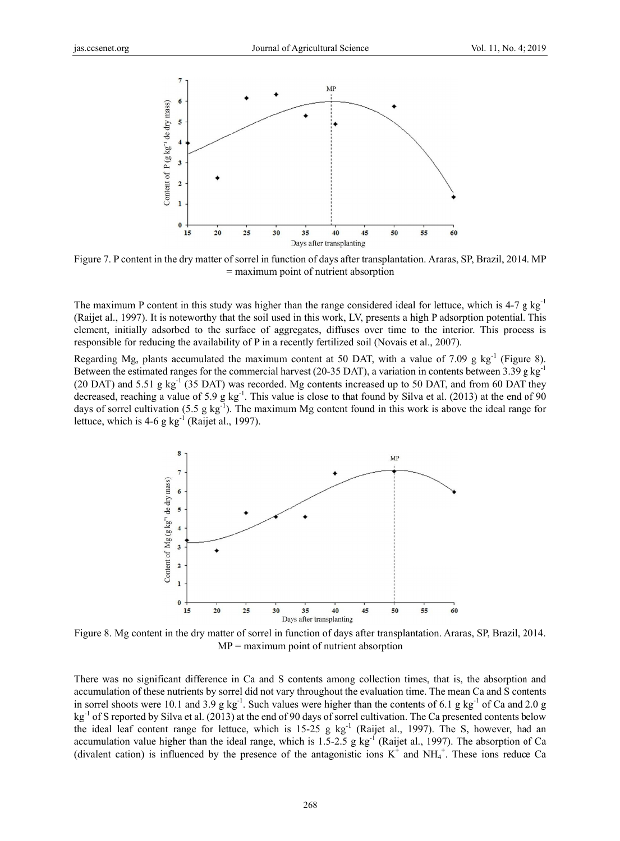

Figure 7. P content in the dry matter of sorrel in function of days after transplantation. Araras, SP, Brazil, 2014. MP = maximum point of nutrient absorption

The maximum P content in this study was higher than the range considered ideal for lettuce, which is  $4-7 \text{ g kg}^{-1}$ (Raijet al., 1997). It is noteworthy that the soil used in this work, LV, presents a high P adsorption potential. This element, initially adsorbed to the surface of aggregates, diffuses over time to the interior. This process is responsible for reducing the availability of P in a recently fertilized soil (Novais et al., 2007).

Regarding Mg, plants accumulated the maximum content at 50 DAT, with a value of 7.09 g  $kg^{-1}$  (Figure 8). Between the estimated ranges for the commercial harvest (20-35 DAT), a variation in contents between 3.39 g kg<sup>-1</sup> (20 DAT) and 5.51 g  $kg^{-1}$  (35 DAT) was recorded. Mg contents increased up to 50 DAT, and from 60 DAT they decreased, reaching a value of 5.9 g  $kg^{-1}$ . This value is close to that found by Silva et al. (2013) at the end of 90 days of sorrel cultivation  $(5.5 \text{ g kg}^{-1})$ . The maximum Mg content found in this work is above the ideal range for lettuce, which is  $4-6$  g kg<sup>-1</sup> (Raijet al., 1997).



Figure 8. Mg content in the dry matter of sorrel in function of days after transplantation. Araras, SP, Brazil, 2014.  $MP =$  maximum point of nutrient absorption

There was no significant difference in Ca and S contents among collection times, that is, the absorption and accumulation of these nutrients by sorrel did not vary throughout the evaluation time. The mean Ca and S contents in sorrel shoots were 10.1 and 3.9 g kg<sup>-1</sup>. Such values were higher than the contents of 6.1 g kg<sup>-1</sup> of Ca and 2.0 g kg<sup>-1</sup> of S reported by Silva et al. (2013) at the end of 90 days of sorrel cultivation. The Ca presented contents below the ideal leaf content range for lettuce, which is  $15{\text -}25$  g kg<sup>-1</sup> (Raijet al., 1997). The S, however, had an accumulation value higher than the ideal range, which is 1.5-2.5 g  $kg<sup>-1</sup>$  (Raijet al., 1997). The absorption of Ca (divalent cation) is influenced by the presence of the antagonistic ions  $K^+$  and  $NH_4^+$ . These ions reduce Ca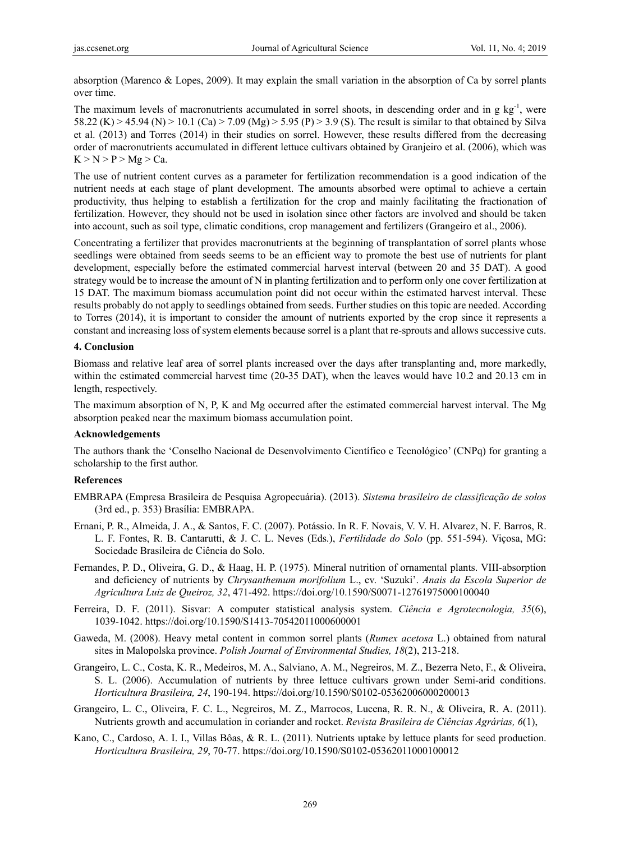absorption (Marenco & Lopes, 2009). It may explain the small variation in the absorption of Ca by sorrel plants over time.

The maximum levels of macronutrients accumulated in sorrel shoots, in descending order and in g  $kg^{-1}$ , were 58.22 (K) > 45.94 (N) > 10.1 (Ca) > 7.09 (Mg) > 5.95 (P) > 3.9 (S). The result is similar to that obtained by Silva et al. (2013) and Torres (2014) in their studies on sorrel. However, these results differed from the decreasing order of macronutrients accumulated in different lettuce cultivars obtained by Granjeiro et al. (2006), which was  $K > N > P > Mg > Ca$ .

The use of nutrient content curves as a parameter for fertilization recommendation is a good indication of the nutrient needs at each stage of plant development. The amounts absorbed were optimal to achieve a certain productivity, thus helping to establish a fertilization for the crop and mainly facilitating the fractionation of fertilization. However, they should not be used in isolation since other factors are involved and should be taken into account, such as soil type, climatic conditions, crop management and fertilizers (Grangeiro et al., 2006).

Concentrating a fertilizer that provides macronutrients at the beginning of transplantation of sorrel plants whose seedlings were obtained from seeds seems to be an efficient way to promote the best use of nutrients for plant development, especially before the estimated commercial harvest interval (between 20 and 35 DAT). A good strategy would be to increase the amount of N in planting fertilization and to perform only one cover fertilization at 15 DAT. The maximum biomass accumulation point did not occur within the estimated harvest interval. These results probably do not apply to seedlings obtained from seeds. Further studies on this topic are needed. According to Torres (2014), it is important to consider the amount of nutrients exported by the crop since it represents a constant and increasing loss of system elements because sorrel is a plant that re-sprouts and allows successive cuts.

## **4. Conclusion**

Biomass and relative leaf area of sorrel plants increased over the days after transplanting and, more markedly, within the estimated commercial harvest time (20-35 DAT), when the leaves would have 10.2 and 20.13 cm in length, respectively.

The maximum absorption of N, P, K and Mg occurred after the estimated commercial harvest interval. The Mg absorption peaked near the maximum biomass accumulation point.

# **Acknowledgements**

The authors thank the 'Conselho Nacional de Desenvolvimento Científico e Tecnológico' (CNPq) for granting a scholarship to the first author.

## **References**

- EMBRAPA (Empresa Brasileira de Pesquisa Agropecuária). (2013). *Sistema brasileiro de classificação de solos* (3rd ed., p. 353) Brasília: EMBRAPA.
- Ernani, P. R., Almeida, J. A., & Santos, F. C. (2007). Potássio. In R. F. Novais, V. V. H. Alvarez, N. F. Barros, R. L. F. Fontes, R. B. Cantarutti, & J. C. L. Neves (Eds.), *Fertilidade do Solo* (pp. 551-594). Viçosa, MG: Sociedade Brasileira de Ciência do Solo.
- Fernandes, P. D., Oliveira, G. D., & Haag, H. P. (1975). Mineral nutrition of ornamental plants. VIII-absorption and deficiency of nutrients by *Chrysanthemum morifolium* L., cv. 'Suzuki'. *Anais da Escola Superior de Agricultura Luiz de Queiroz, 32*, 471-492. https://doi.org/10.1590/S0071-12761975000100040
- Ferreira, D. F. (2011). Sisvar: A computer statistical analysis system. *Ciência e Agrotecnologia, 35*(6), 1039-1042. https://doi.org/10.1590/S1413-70542011000600001
- Gaweda, M. (2008). Heavy metal content in common sorrel plants (*Rumex acetosa* L.) obtained from natural sites in Malopolska province. *Polish Journal of Environmental Studies, 18*(2), 213-218.
- Grangeiro, L. C., Costa, K. R., Medeiros, M. A., Salviano, A. M., Negreiros, M. Z., Bezerra Neto, F., & Oliveira, S. L. (2006). Accumulation of nutrients by three lettuce cultivars grown under Semi-arid conditions. *Horticultura Brasileira, 24*, 190-194. https://doi.org/10.1590/S0102-05362006000200013
- Grangeiro, L. C., Oliveira, F. C. L., Negreiros, M. Z., Marrocos, Lucena, R. R. N., & Oliveira, R. A. (2011). Nutrients growth and accumulation in coriander and rocket. *Revista Brasileira de Ciências Agrárias, 6*(1),
- Kano, C., Cardoso, A. I. I., Villas Bôas, & R. L. (2011). Nutrients uptake by lettuce plants for seed production. *Horticultura Brasileira, 29*, 70-77. https://doi.org/10.1590/S0102-05362011000100012